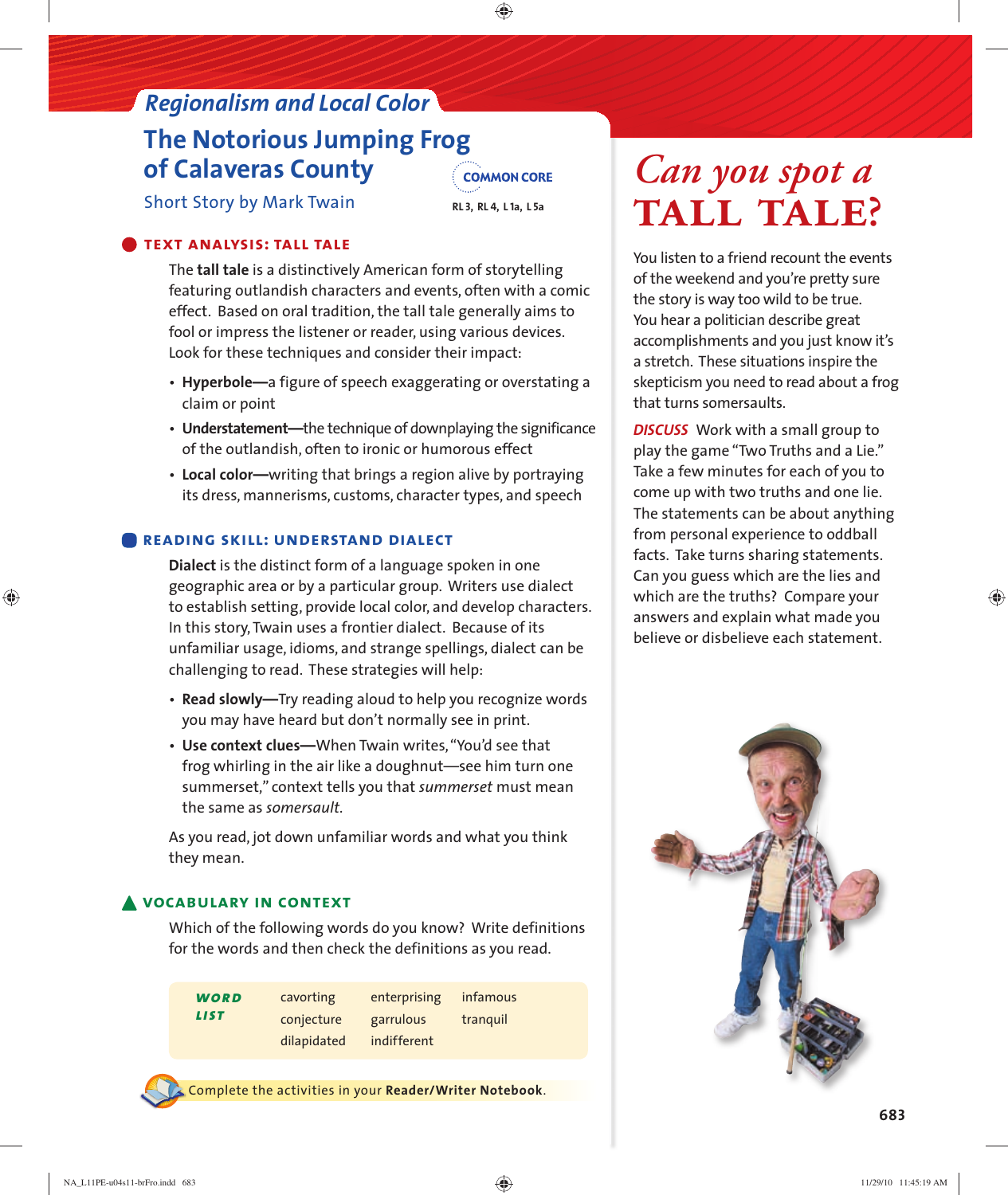### *Regionalism and Local Color*

### **The Notorious Jumping Frog of Calaveras County**

Short Story by Mark Twain

**COMMON CORE** 

**RL 3, RL 4, L 1a, L 5a**

### **text analysis: tall tale**

The **tall tale** is a distinctively American form of storytelling featuring outlandish characters and events, often with a comic effect. Based on oral tradition, the tall tale generally aims to fool or impress the listener or reader, using various devices. Look for these techniques and consider their impact:

- **Hyperbole—**a figure of speech exaggerating or overstating a claim or point
- **Understatement—**the technique of downplaying the significance of the outlandish, often to ironic or humorous effect
- **Local color—**writing that brings a region alive by portraying its dress, mannerisms, customs, character types, and speech

### **reading skill: understand dialect**

**Dialect** is the distinct form of a language spoken in one geographic area or by a particular group. Writers use dialect to establish setting, provide local color, and develop characters. In this story, Twain uses a frontier dialect. Because of its unfamiliar usage, idioms, and strange spellings, dialect can be challenging to read. These strategies will help:

- **Read slowly—**Try reading aloud to help you recognize words you may have heard but don't normally see in print.
- **Use context clues—**When Twain writes, "You'd see that frog whirling in the air like a doughnut—see him turn one summerset," context tells you that *summerset* must mean the same as *somersault.*

As you read, jot down unfamiliar words and what you think they mean.

### **vocabulary in context**

Which of the following words do you know? Write definitions for the words and then check the definitions as you read.

| <b>WORD</b> | cavorting   | enterprising | infamous |
|-------------|-------------|--------------|----------|
| <b>LIST</b> | conjecture  | garrulous    | tranguil |
|             | dilapidated | indifferent  |          |

Complete the activities in your **Reader/Writer Notebook**.

## *Can you spot a*  **tall tale?**

You listen to a friend recount the events of the weekend and you're pretty sure the story is way too wild to be true. You hear a politician describe great accomplishments and you just know it's a stretch. These situations inspire the skepticism you need to read about a frog that turns somersaults.

*DISCUSS* Work with a small group to play the game "Two Truths and a Lie." Take a few minutes for each of you to come up with two truths and one lie. The statements can be about anything from personal experience to oddball facts. Take turns sharing statements. Can you guess which are the lies and which are the truths? Compare your answers and explain what made you believe or disbelieve each statement.

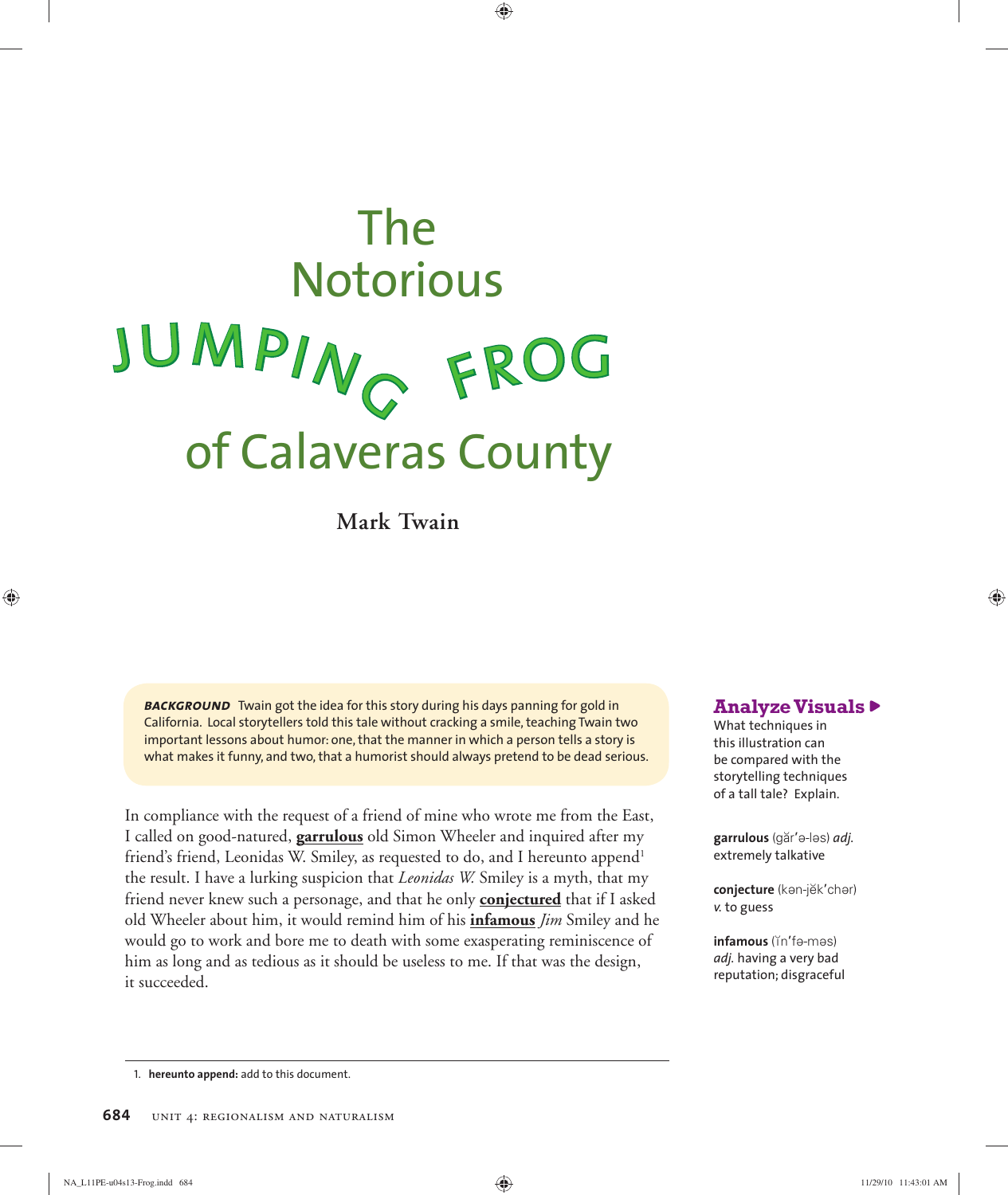# The **Notorious** <sup>j</sup>umping of Calaveras County <sup>f</sup>ro<sup>g</sup>

**Mark Twain**

**BACKGROUND** Twain got the idea for this story during his days panning for gold in California. Local storytellers told this tale without cracking a smile, teaching Twain two important lessons about humor: one, that the manner in which a person tells a story is what makes it funny, and two, that a humorist should always pretend to be dead serious.

In compliance with the request of a friend of mine who wrote me from the East, I called on good-natured, **garrulous** old Simon Wheeler and inquired after my friend's friend, Leonidas W. Smiley, as requested to do, and I hereunto append<sup>1</sup> the result. I have a lurking suspicion that *Leonidas W.* Smiley is a myth, that my friend never knew such a personage, and that he only **conjectured** that if I asked old Wheeler about him, it would remind him of his **infamous** *Jim* Smiley and he would go to work and bore me to death with some exasperating reminiscence of him as long and as tedious as it should be useless to me. If that was the design, it succeeded.

### **Analyze Visuals**

What techniques in this illustration can be compared with the storytelling techniques of a tall tale? Explain.

garrulous (găr'a-las) adj. extremely talkative

conjecture (kan-jĕk'char) *v.* to guess

**infamous** (In'fe-mes) *adj.* having a very bad reputation; disgraceful

 <sup>1.</sup> **hereunto append:** add to this document.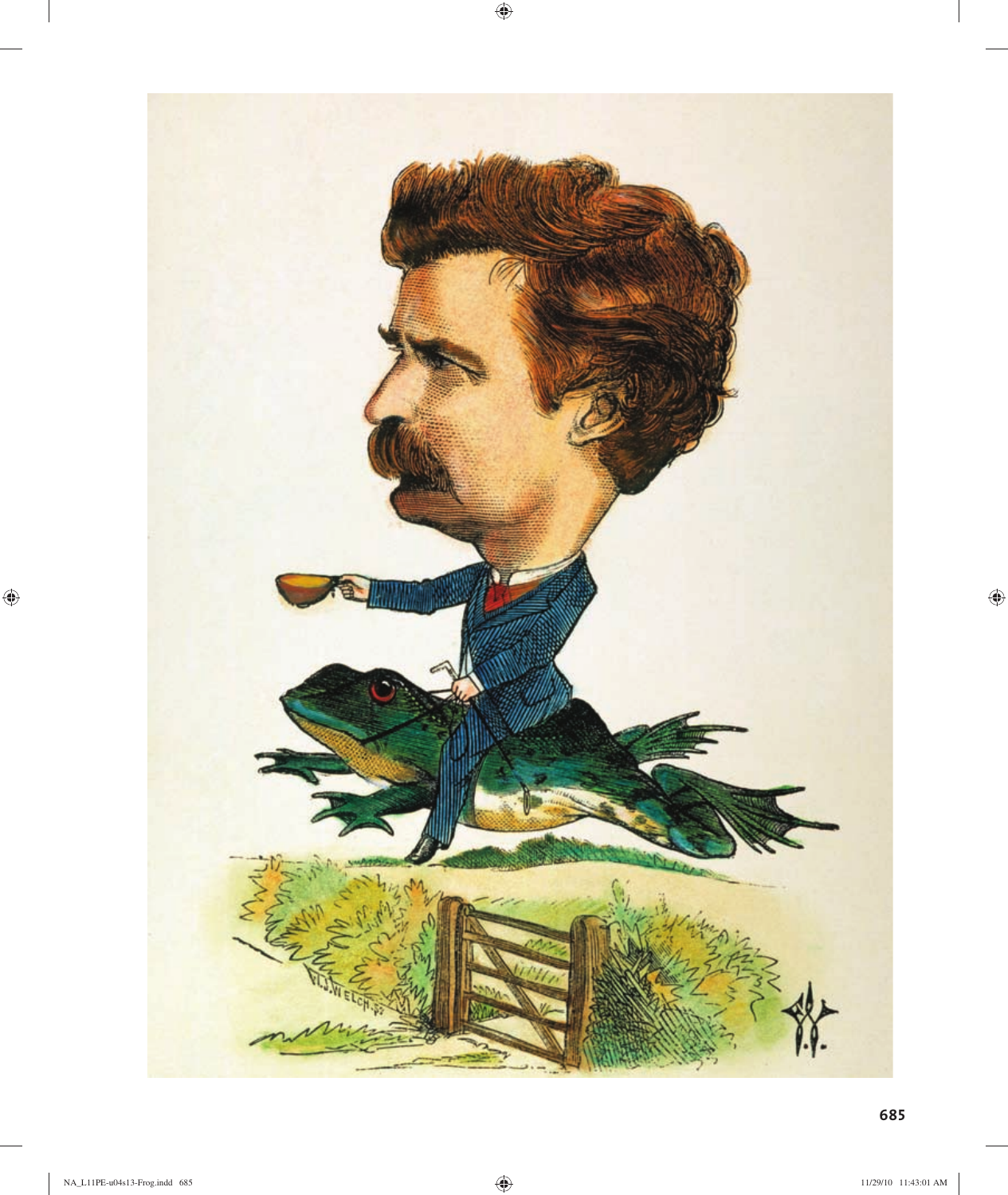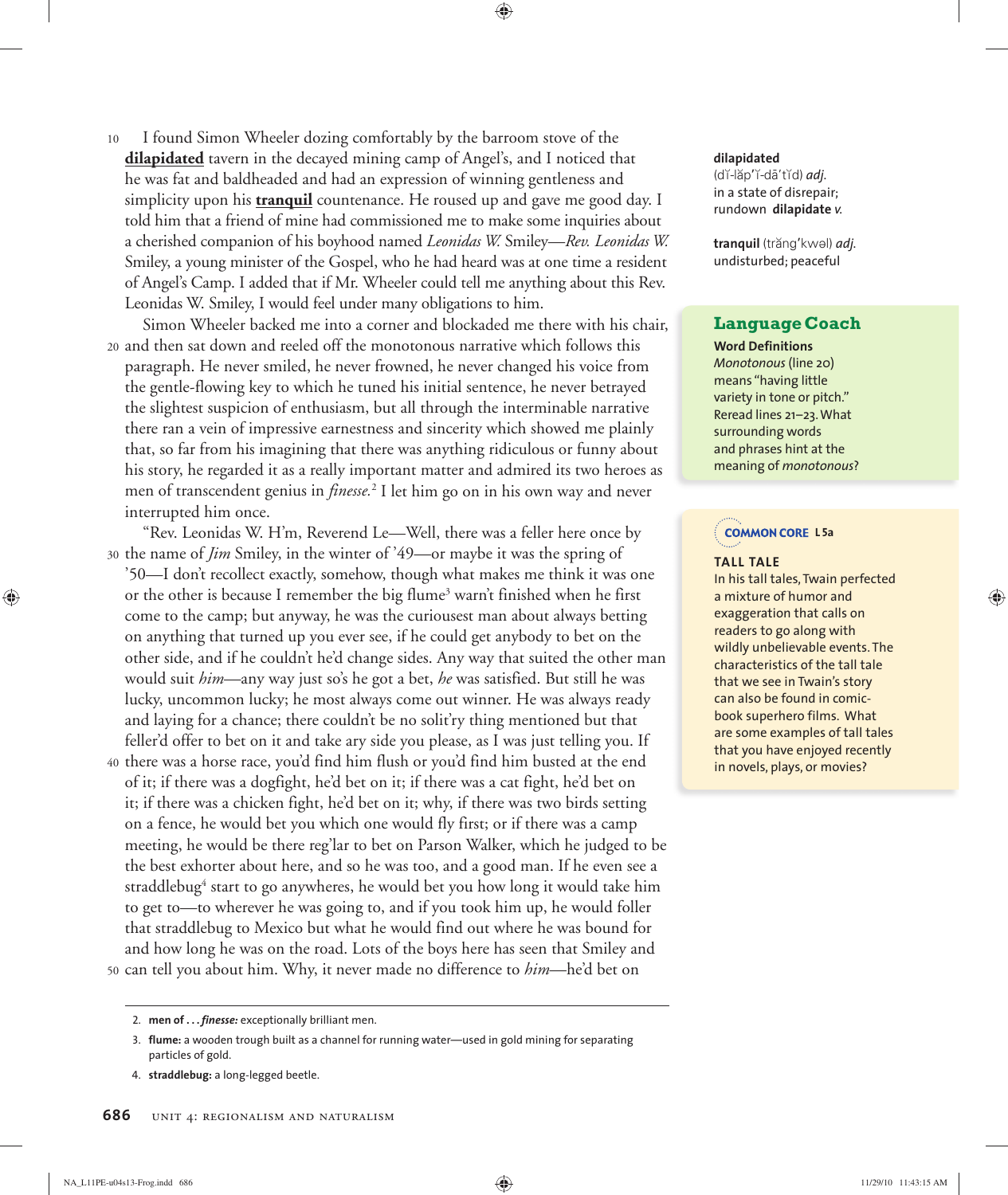I found Simon Wheeler dozing comfortably by the barroom stove of the **dilapidated** tavern in the decayed mining camp of Angel's, and I noticed that he was fat and baldheaded and had an expression of winning gentleness and simplicity upon his **tranquil** countenance. He roused up and gave me good day. I told him that a friend of mine had commissioned me to make some inquiries about a cherished companion of his boyhood named *Leonidas W.* Smiley—*Rev. Leonidas W.* Smiley, a young minister of the Gospel, who he had heard was at one time a resident of Angel's Camp. I added that if Mr. Wheeler could tell me anything about this Rev. Leonidas W. Smiley, I would feel under many obligations to him. 10

Simon Wheeler backed me into a corner and blockaded me there with his chair, and then sat down and reeled off the monotonous narrative which follows this 20 paragraph. He never smiled, he never frowned, he never changed his voice from the gentle-flowing key to which he tuned his initial sentence, he never betrayed the slightest suspicion of enthusiasm, but all through the interminable narrative there ran a vein of impressive earnestness and sincerity which showed me plainly that, so far from his imagining that there was anything ridiculous or funny about his story, he regarded it as a really important matter and admired its two heroes as men of transcendent genius in *finesse.*<sup>2</sup> I let him go on in his own way and never interrupted him once.

"Rev. Leonidas W. H'm, Reverend Le—Well, there was a feller here once by 30 the name of *Jim* Smiley, in the winter of '49—or maybe it was the spring of '50—I don't recollect exactly, somehow, though what makes me think it was one or the other is because I remember the big flume<sup>3</sup> warn't finished when he first come to the camp; but anyway, he was the curiousest man about always betting on anything that turned up you ever see, if he could get anybody to bet on the other side, and if he couldn't he'd change sides. Any way that suited the other man would suit *him*—any way just so's he got a bet, *he* was satisfied. But still he was lucky, uncommon lucky; he most always come out winner. He was always ready and laying for a chance; there couldn't be no solit'ry thing mentioned but that feller'd offer to bet on it and take ary side you please, as I was just telling you. If  $\scriptstyle\rm 40$  there was a horse race, you'd find him flush or you'd find him busted at the end of it; if there was a dogfight, he'd bet on it; if there was a cat fight, he'd bet on it; if there was a chicken fight, he'd bet on it; why, if there was two birds setting on a fence, he would bet you which one would fly first; or if there was a camp meeting, he would be there reg'lar to bet on Parson Walker, which he judged to be the best exhorter about here, and so he was too, and a good man. If he even see a straddlebug<sup>4</sup> start to go anywheres, he would bet you how long it would take him to get to—to wherever he was going to, and if you took him up, he would foller that straddlebug to Mexico but what he would find out where he was bound for and how long he was on the road. Lots of the boys here has seen that Smiley and 50 can tell you about him. Why, it never made no difference to *him*—he'd bet on

4. **straddlebug:** a long-legged beetle.

#### **dilapidated**

(dĭ-lăp'ĭ-dā'tĭd) *adj*. in a state of disrepair; rundown **dilapidate** *v.*

**tranquil** (trăng'kwel) *adj.* undisturbed; peaceful

### **Language Coach**

**Word Definitions**  *Monotonous* (line 20) means "having little variety in tone or pitch." Reread lines 21–23. What surrounding words and phrases hint at the meaning of *monotonous*?

#### **COMMON CORE L5a**

#### **TALL TALE**

In his tall tales, Twain perfected a mixture of humor and exaggeration that calls on readers to go along with wildly unbelievable events. The characteristics of the tall tale that we see in Twain's story can also be found in comicbook superhero films. What are some examples of tall tales that you have enjoyed recently in novels, plays, or movies?

 <sup>2.</sup> **men of . . .** *finesse:* exceptionally brilliant men.

 <sup>3.</sup> **flume:** a wooden trough built as a channel for running water—used in gold mining for separating particles of gold.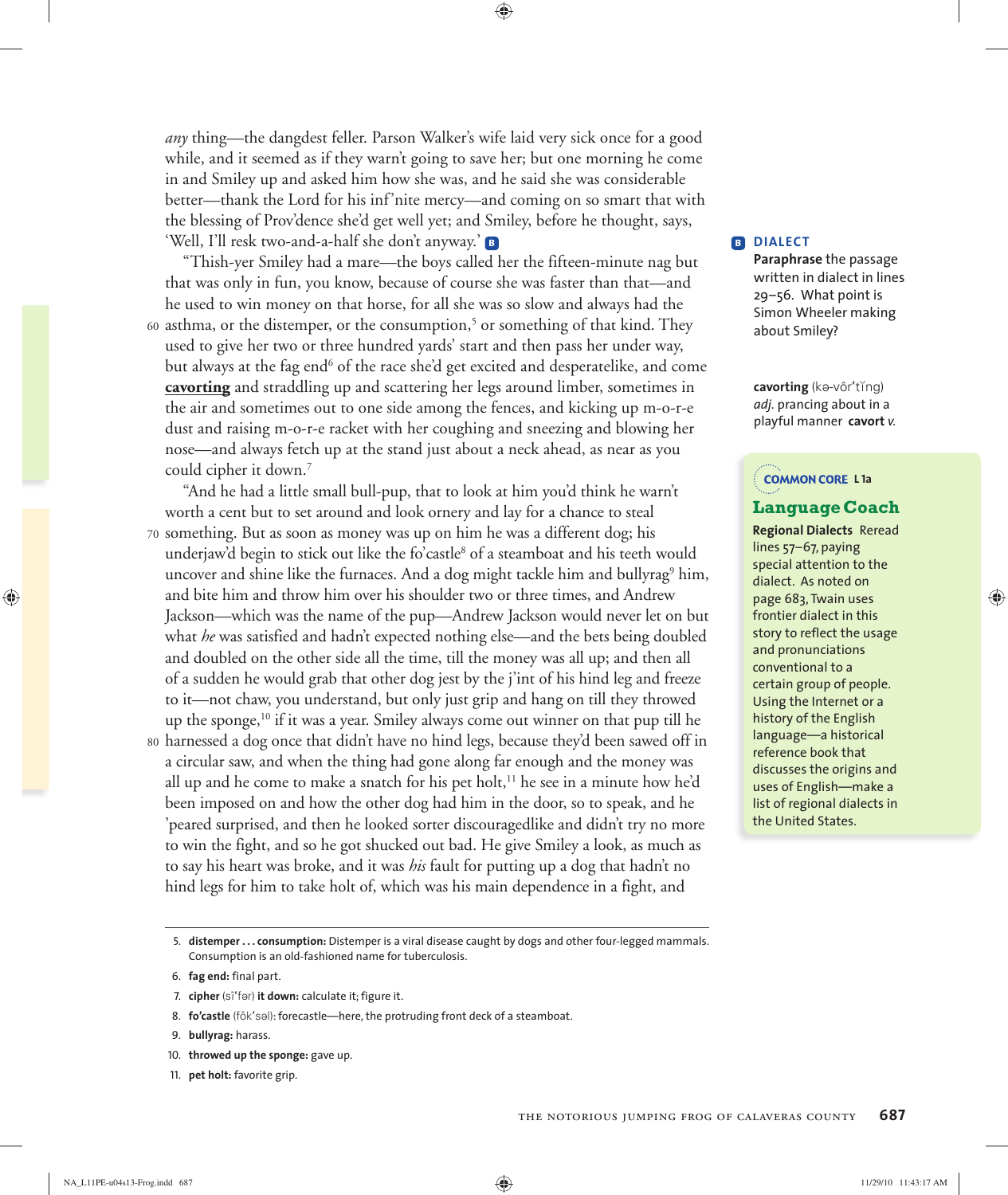*any* thing—the dangdest feller. Parson Walker's wife laid very sick once for a good while, and it seemed as if they warn't going to save her; but one morning he come in and Smiley up and asked him how she was, and he said she was considerable better—thank the Lord for his inf'nite mercy—and coming on so smart that with the blessing of Prov'dence she'd get well yet; and Smiley, before he thought, says, 'Well, I'll resk two-and-a-half she don't anyway.' **b**

"Thish-yer Smiley had a mare—the boys called her the fifteen-minute nag but that was only in fun, you know, because of course she was faster than that—and he used to win money on that horse, for all she was so slow and always had the  $\omega$  asthma, or the distemper, or the consumption,<sup>5</sup> or something of that kind. They used to give her two or three hundred yards' start and then pass her under way, but always at the fag end $^6$  of the race she'd get excited and desperatelike, and come **cavorting** and straddling up and scattering her legs around limber, sometimes in the air and sometimes out to one side among the fences, and kicking up m-o-r-e dust and raising m-o-r-e racket with her coughing and sneezing and blowing her nose—and always fetch up at the stand just about a neck ahead, as near as you could cipher it down.7

"And he had a little small bull-pup, that to look at him you'd think he warn't worth a cent but to set around and look ornery and lay for a chance to steal something. But as soon as money was up on him he was a different dog; his 70 underjaw'd begin to stick out like the fo'castle<sup>8</sup> of a steamboat and his teeth would uncover and shine like the furnaces. And a dog might tackle him and bullyrag<sup>9</sup> him, and bite him and throw him over his shoulder two or three times, and Andrew Jackson—which was the name of the pup—Andrew Jackson would never let on but what *he* was satisfied and hadn't expected nothing else—and the bets being doubled and doubled on the other side all the time, till the money was all up; and then all of a sudden he would grab that other dog jest by the j'int of his hind leg and freeze to it—not chaw, you understand, but only just grip and hang on till they throwed up the sponge,<sup>10</sup> if it was a year. Smiley always come out winner on that pup till he harnessed a dog once that didn't have no hind legs, because they'd been sawed off in 80 a circular saw, and when the thing had gone along far enough and the money was all up and he come to make a snatch for his pet holt,<sup>11</sup> he see in a minute how he'd been imposed on and how the other dog had him in the door, so to speak, and he 'peared surprised, and then he looked sorter discouragedlike and didn't try no more to win the fight, and so he got shucked out bad. He give Smiley a look, as much as to say his heart was broke, and it was *his* fault for putting up a dog that hadn't no hind legs for him to take holt of, which was his main dependence in a fight, and

### **b DIALECT**

**Paraphrase** the passage written in dialect in lines 29–56. What point is Simon Wheeler making about Smiley?

**cavorting** (ka-vôr'tǐng) *adj.* prancing about in a playful manner **cavort** *v.*

### **COMMON CORE L1a**

#### **Language Coach**

**Regional Dialects** Reread lines 57–67, paying special attention to the dialect. As noted on page 683, Twain uses frontier dialect in this story to reflect the usage and pronunciations conventional to a certain group of people. Using the Internet or a history of the English language—a historical reference book that discusses the origins and uses of English—make a list of regional dialects in the United States.

- 7. **cipher** (sī'for) it down: calculate it; figure it.
- 8. **fo'castle** (fok'sal): forecastle—here, the protruding front deck of a steamboat.
- 9. **bullyrag:** harass.
- 10. **throwed up the sponge:** gave up.
- 11. **pet holt:** favorite grip.

 <sup>6.</sup> **fag end:** final part.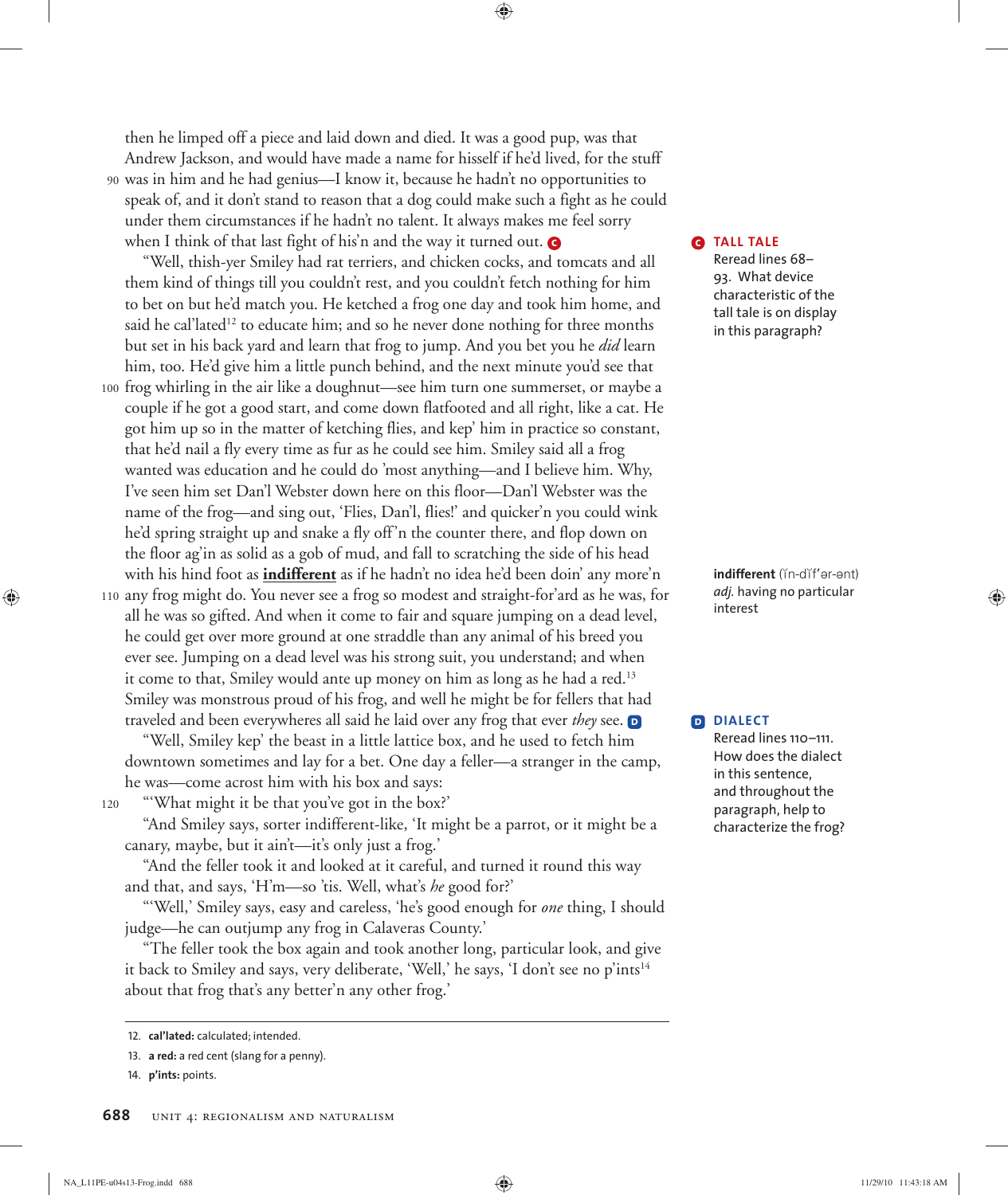then he limped off a piece and laid down and died. It was a good pup, was that

90 was in him and he had genius—I know it, because he hadn't no opportunities to Andrew Jackson, and would have made a name for hisself if he'd lived, for the stuff speak of, and it don't stand to reason that a dog could make such a fight as he could under them circumstances if he hadn't no talent. It always makes me feel sorry when I think of that last fight of his'n and the way it turned out. **c**

"Well, thish-yer Smiley had rat terriers, and chicken cocks, and tomcats and all them kind of things till you couldn't rest, and you couldn't fetch nothing for him to bet on but he'd match you. He ketched a frog one day and took him home, and said he cal'lated<sup>12</sup> to educate him; and so he never done nothing for three months but set in his back yard and learn that frog to jump. And you bet you he *did* learn him, too. He'd give him a little punch behind, and the next minute you'd see that

- 100 frog whirling in the air like a doughnut—see him turn one summerset, or maybe a couple if he got a good start, and come down flatfooted and all right, like a cat. He got him up so in the matter of ketching flies, and kep' him in practice so constant, that he'd nail a fly every time as fur as he could see him. Smiley said all a frog wanted was education and he could do 'most anything—and I believe him. Why, I've seen him set Dan'l Webster down here on this floor—Dan'l Webster was the name of the frog—and sing out, 'Flies, Dan'l, flies!' and quicker'n you could wink he'd spring straight up and snake a fly off'n the counter there, and flop down on the floor ag'in as solid as a gob of mud, and fall to scratching the side of his head with his hind foot as **indifferent** as if he hadn't no idea he'd been doin' any more'n
- 110 any frog might do. You never see a frog so modest and straight-for'ard as he was, for all he was so gifted. And when it come to fair and square jumping on a dead level, he could get over more ground at one straddle than any animal of his breed you ever see. Jumping on a dead level was his strong suit, you understand; and when it come to that, Smiley would ante up money on him as long as he had a red.<sup>13</sup> Smiley was monstrous proud of his frog, and well he might be for fellers that had traveled and been everywheres all said he laid over any frog that ever *they* see. **d**

"Well, Smiley kep' the beast in a little lattice box, and he used to fetch him downtown sometimes and lay for a bet. One day a feller—a stranger in the camp, he was—come acrost him with his box and says:

120 "'What might it be that you've got in the box?'

"And Smiley says, sorter indifferent-like, 'It might be a parrot, or it might be a canary, maybe, but it ain't—it's only just a frog.'

"And the feller took it and looked at it careful, and turned it round this way and that, and says, 'H'm—so 'tis. Well, what's *he* good for?'

"'Well,' Smiley says, easy and careless, 'he's good enough for *one* thing, I should judge—he can outjump any frog in Calaveras County.'

"The feller took the box again and took another long, particular look, and give it back to Smiley and says, very deliberate, 'Well,' he says, 'I don't see no p'ints<sup>14</sup> about that frog that's any better'n any other frog.'

### **c TALL TALE**

Reread lines 68– 93. What device characteristic of the tall tale is on display in this paragraph?

**indifferent** (In-dif'er-ent) *adj.* having no particular interest

#### **d DIALECT**

Reread lines 110–111. How does the dialect in this sentence, and throughout the paragraph, help to characterize the frog?

 <sup>12.</sup> **cal'lated:** calculated; intended.

 <sup>13.</sup> **a red:** a red cent (slang for a penny).

 <sup>14.</sup> **p'ints:** points.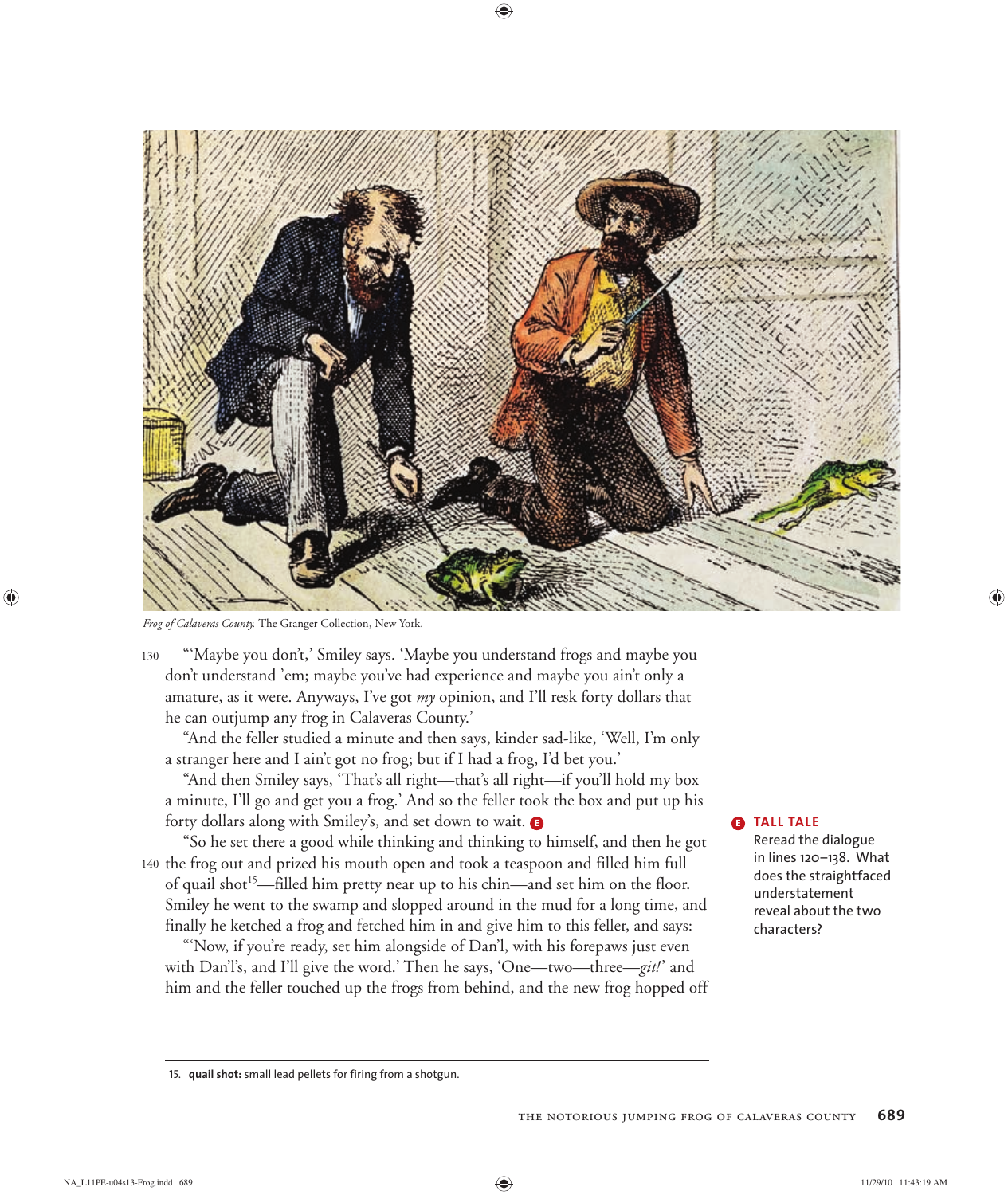

*Frog of Calaveras County.* The Granger Collection, New York.

130 "'Maybe you don't,' Smiley says. 'Maybe you understand frogs and maybe you don't understand 'em; maybe you've had experience and maybe you ain't only a amature, as it were. Anyways, I've got *my* opinion, and I'll resk forty dollars that he can outjump any frog in Calaveras County.'

"And the feller studied a minute and then says, kinder sad-like, 'Well, I'm only a stranger here and I ain't got no frog; but if I had a frog, I'd bet you.'

"And then Smiley says, 'That's all right—that's all right—if you'll hold my box a minute, I'll go and get you a frog.' And so the feller took the box and put up his forty dollars along with Smiley's, and set down to wait. **e**

140 the frog out and prized his mouth open and took a teaspoon and filled him full "So he set there a good while thinking and thinking to himself, and then he got of quail shot<sup>15</sup>—filled him pretty near up to his chin—and set him on the floor. Smiley he went to the swamp and slopped around in the mud for a long time, and finally he ketched a frog and fetched him in and give him to this feller, and says:

"'Now, if you're ready, set him alongside of Dan'l, with his forepaws just even with Dan'l's, and I'll give the word.' Then he says, 'One—two—three—*git!* ' and him and the feller touched up the frogs from behind, and the new frog hopped off

#### **B** TALL TALE

Reread the dialogue in lines 120–138. What does the straightfaced understatement reveal about the two characters?

 <sup>15.</sup> **quail shot:** small lead pellets for firing from a shotgun.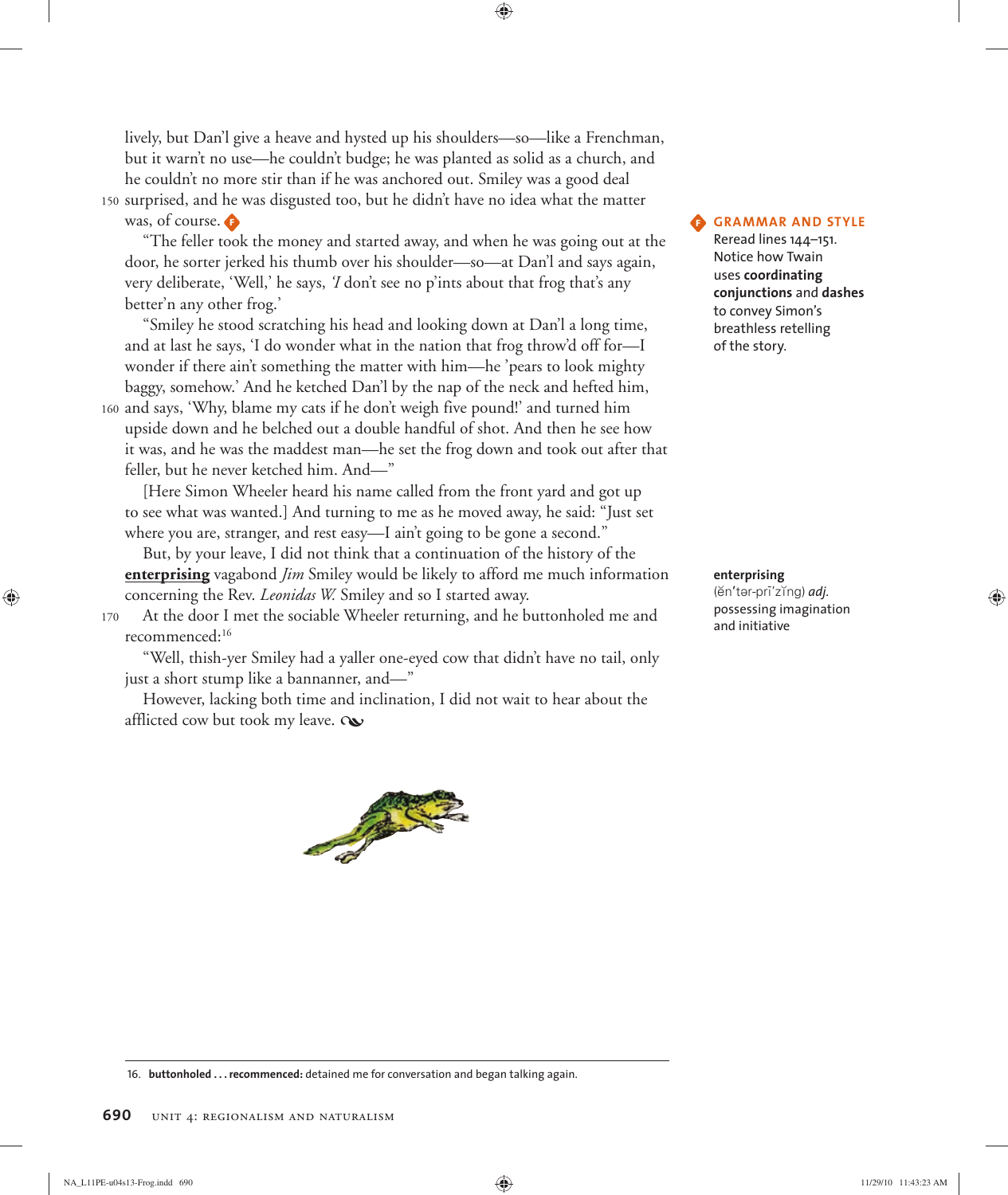lively, but Dan'l give a heave and hysted up his shoulders—so—like a Frenchman, but it warn't no use—he couldn't budge; he was planted as solid as a church, and he couldn't no more stir than if he was anchored out. Smiley was a good deal 150 surprised, and he was disgusted too, but he didn't have no idea what the matter

was, of course. **f**

"The feller took the money and started away, and when he was going out at the door, he sorter jerked his thumb over his shoulder—so—at Dan'l and says again, very deliberate, 'Well,' he says, *'I* don't see no p'ints about that frog that's any better'n any other frog.'

"Smiley he stood scratching his head and looking down at Dan'l a long time, and at last he says, 'I do wonder what in the nation that frog throw'd off for—I wonder if there ain't something the matter with him—he 'pears to look mighty baggy, somehow.' And he ketched Dan'l by the nap of the neck and hefted him,

and says, 'Why, blame my cats if he don't weigh five pound!' and turned him 160 upside down and he belched out a double handful of shot. And then he see how it was, and he was the maddest man—he set the frog down and took out after that feller, but he never ketched him. And—"

[Here Simon Wheeler heard his name called from the front yard and got up to see what was wanted.] And turning to me as he moved away, he said: "Just set where you are, stranger, and rest easy—I ain't going to be gone a second."

But, by your leave, I did not think that a continuation of the history of the **enterprising** vagabond *Jim* Smiley would be likely to afford me much information concerning the Rev. *Leonidas W.* Smiley and so I started away.

At the door I met the sociable Wheeler returning, and he buttonholed me and recommenced:16 170

"Well, thish-yer Smiley had a yaller one-eyed cow that didn't have no tail, only just a short stump like a bannanner, and—"

However, lacking both time and inclination, I did not wait to hear about the afflicted cow but took my leave.  $\infty$ 





Reread lines 144–151. Notice how Twain uses **coordinating conjunctions** and **dashes** to convey Simon's breathless retelling of the story.

#### **enterprising**

(ĕn'tər-prī'zĭng) *adj.* possessing imagination and initiative

16. **buttonholed . . . recommenced:** detained me for conversation and began talking again.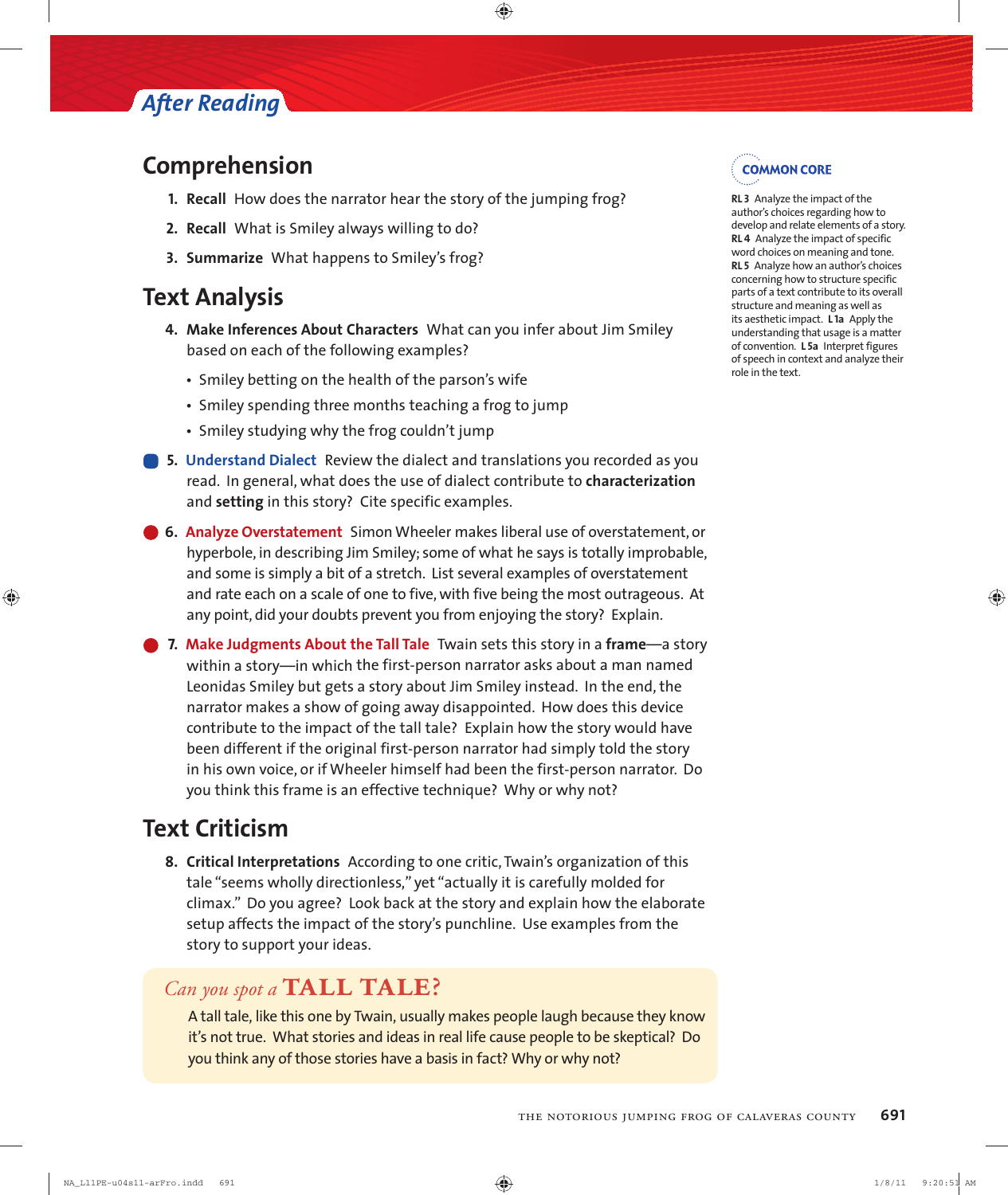### *After Reading*

### **Comprehension**

- **1. Recall** How does the narrator hear the story of the jumping frog?
- **2. Recall** What is Smiley always willing to do?
- **3. Summarize** What happens to Smiley's frog?

### **Text Analysis**

- **4. Make Inferences About Characters** What can you infer about Jim Smiley based on each of the following examples?
	- Smiley betting on the health of the parson's wife
	- Smiley spending three months teaching a frog to jump
	- Smiley studying why the frog couldn't jump
- **5. Understand Dialect** Review the dialect and translations you recorded as you read. In general, what does the use of dialect contribute to **characterization** and **setting** in this story? Cite specific examples.
- **6. Analyze Overstatement** Simon Wheeler makes liberal use of overstatement, or hyperbole, in describing Jim Smiley; some of what he says is totally improbable, and some is simply a bit of a stretch. List several examples of overstatement and rate each on a scale of one to five, with five being the most outrageous. At any point, did your doubts prevent you from enjoying the story? Explain.
- **7. Make Judgments About the Tall Tale** Twain sets this story in a **frame**—a story within a story—in which the first-person narrator asks about a man named Leonidas Smiley but gets a story about Jim Smiley instead. In the end, the narrator makes a show of going away disappointed. How does this device contribute to the impact of the tall tale? Explain how the story would have been different if the original first-person narrator had simply told the story in his own voice, or if Wheeler himself had been the first-person narrator. Do you think this frame is an effective technique? Why or why not?

### **Text Criticism**

 **8. Critical Interpretations** According to one critic, Twain's organization of this tale "seems wholly directionless," yet "actually it is carefully molded for climax." Do you agree? Look back at the story and explain how the elaborate setup affects the impact of the story's punchline. Use examples from the story to support your ideas.

### *Can you spot a* **TALL TALE?**

A tall tale, like this one by Twain, usually makes people laugh because they know it's not true. What stories and ideas in real life cause people to be skeptical? Do you think any of those stories have a basis in fact? Why or why not?



**RL 3** Analyze the impact of the author's choices regarding how to develop and relate elements of a story. **RL 4** Analyze the impact of specific word choices on meaning and tone. **RL 5** Analyze how an author's choices concerning how to structure specific parts of a text contribute to its overall structure and meaning as well as its aesthetic impact. **L 1a** Apply the understanding that usage is a matter of convention. **L 5a** Interpret figures of speech in context and analyze their role in the text.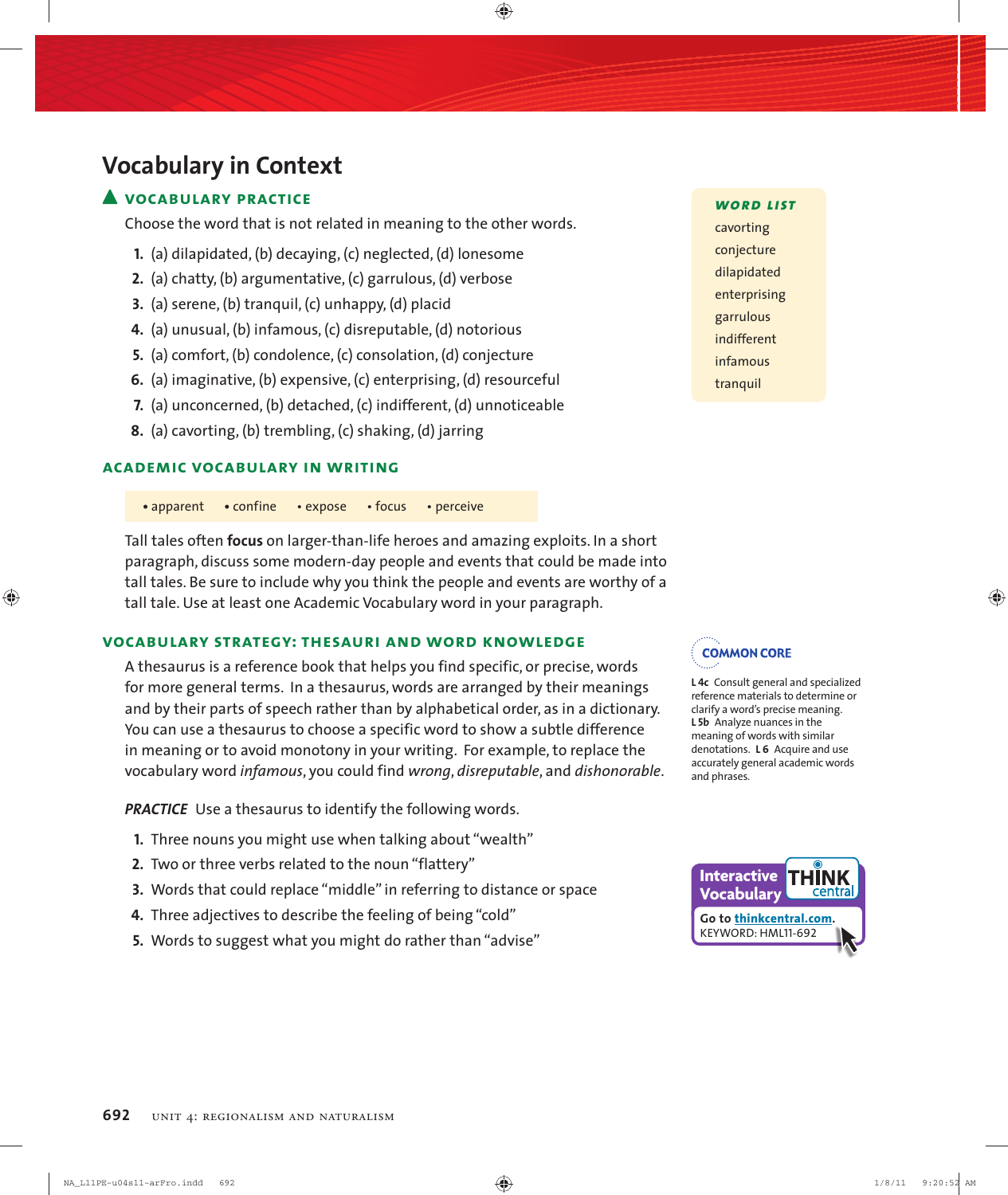### **Vocabulary in Context**

### **vocabulary practice**

Choose the word that is not related in meaning to the other words.

- **1.** (a) dilapidated, (b) decaying, (c) neglected, (d) lonesome
- **2.** (a) chatty, (b) argumentative, (c) garrulous, (d) verbose
- **3.** (a) serene, (b) tranquil, (c) unhappy, (d) placid
- **4.** (a) unusual, (b) infamous, (c) disreputable, (d) notorious
- **5.** (a) comfort, (b) condolence, (c) consolation, (d) conjecture
- **6.** (a) imaginative, (b) expensive, (c) enterprising, (d) resourceful
- **7.** (a) unconcerned, (b) detached, (c) indifferent, (d) unnoticeable
- **8.** (a) cavorting, (b) trembling, (c) shaking, (d) jarring

### **academic vocabulary in writing**

**•** apparent **•** confine • expose • focus • perceive

Tall tales often **focus** on larger-than-life heroes and amazing exploits. In a short paragraph, discuss some modern-day people and events that could be made into tall tales. Be sure to include why you think the people and events are worthy of a tall tale. Use at least one Academic Vocabulary word in your paragraph.

### **vocabulary strategy: thesauri and word knowledge**

A thesaurus is a reference book that helps you find specific, or precise, words for more general terms. In a thesaurus, words are arranged by their meanings and by their parts of speech rather than by alphabetical order, as in a dictionary. You can use a thesaurus to choose a specific word to show a subtle difference in meaning or to avoid monotony in your writing. For example, to replace the vocabulary word *infamous*, you could find *wrong*, *disreputable*, and *dishonorable*.

**PRACTICE** Use a thesaurus to identify the following words.

- **1.** Three nouns you might use when talking about "wealth"
- **2.** Two or three verbs related to the noun "flattery"
- **3.** Words that could replace "middle" in referring to distance or space
- **4.** Three adjectives to describe the feeling of being "cold"
- **5.** Words to suggest what you might do rather than "advise"

### *word list*

cavorting conjecture dilapidated enterprising garrulous indifferent infamous tranquil

### **COMMON CORE**

**L 4c** Consult general and specialized reference materials to determine or clarify a word's precise meaning. **L 5b** Analyze nuances in the meaning of words with similar denotations. **L 6** Acquire and use accurately general academic words and phrases.